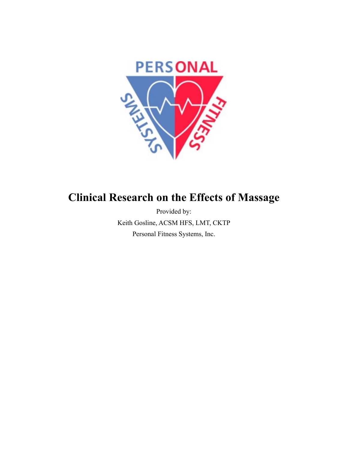

#### **Clinical Research on the Effects of Massage**

Provided by: Keith Gosline, ACSM HFS, LMT, CKTP Personal Fitness Systems, Inc.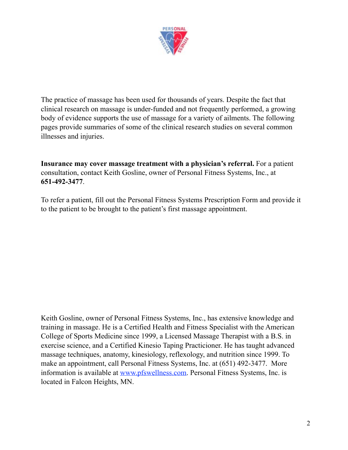

The practice of massage has been used for thousands of years. Despite the fact that clinical research on massage is under-funded and not frequently performed, a growing body of evidence supports the use of massage for a variety of ailments. The following pages provide summaries of some of the clinical research studies on several common illnesses and injuries.

**Insurance may cover massage treatment with a physician's referral.** For a patient consultation, contact Keith Gosline, owner of Personal Fitness Systems, Inc., at **651-492-3477**.

To refer a patient, fill out the Personal Fitness Systems Prescription Form and provide it to the patient to be brought to the patient's first massage appointment.

Keith Gosline, owner of Personal Fitness Systems, Inc., has extensive knowledge and training in massage. He is a Certified Health and Fitness Specialist with the American College of Sports Medicine since 1999, a Licensed Massage Therapist with a B.S. in exercise science, and a Certified Kinesio Taping Practicioner. He has taught advanced massage techniques, anatomy, kinesiology, reflexology, and nutrition since 1999. To make an appointment, call Personal Fitness Systems, Inc. at (651) 492-3477. More information is available at [www.pfswellness.com](http://www.pfswellness.com). Personal Fitness Systems, Inc. is located in Falcon Heights, MN.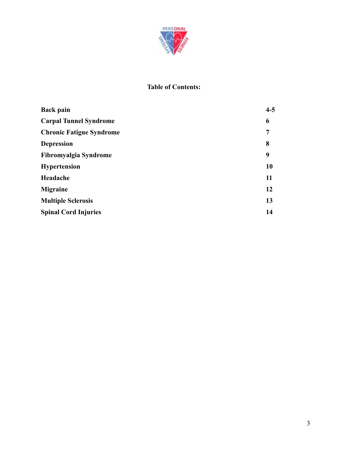

#### **Table of Contents:**

| <b>Back pain</b>                | $4 - 5$ |
|---------------------------------|---------|
| <b>Carpal Tunnel Syndrome</b>   | 6       |
| <b>Chronic Fatigue Syndrome</b> | 7       |
| <b>Depression</b>               | 8       |
| Fibromyalgia Syndrome           | 9       |
| <b>Hypertension</b>             | 10      |
| Headache                        | 11      |
| <b>Migraine</b>                 | 12      |
| <b>Multiple Sclerosis</b>       | 13      |
| <b>Spinal Cord Injuries</b>     | 14      |
|                                 |         |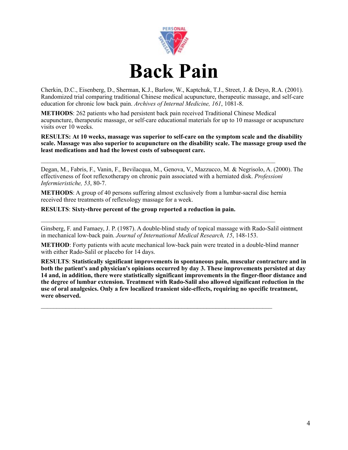

Cherkin, D.C., Eisenberg, D., Sherman, K.J., Barlow, W., Kaptchuk, T.J., Street, J. & Deyo, R.A. (2001). Randomized trial comparing traditional Chinese medical acupuncture, therapeutic massage, and self-care education for chronic low back pain. *Archives of Internal Medicine, 161*, 1081-8.

**METHODS**: 262 patients who had persistent back pain received Traditional Chinese Medical acupuncture, therapeutic massage, or self-care educational materials for up to 10 massage or acupuncture visits over 10 weeks.

**RESULTS: At 10 weeks, massage was superior to self-care on the symptom scale and the disability scale. Massage was also superior to acupuncture on the disability scale. The massage group used the least medications and had the lowest costs of subsequent care.**

Degan, M., Fabris, F., Vanin, F., Bevilacqua, M., Genova, V., Mazzucco, M. & Negrisolo, A. (2000). The effectiveness of foot reflexotherapy on chronic pain associated with a herniated disk. *Professioni Infermieristiche, 53*, 80-7.

**METHODS**: A group of 40 persons suffering almost exclusively from a lumbar-sacral disc hernia received three treatments of reflexology massage for a week.

 $\mathcal{L}_\text{max} = \mathcal{L}_\text{max} = \mathcal{L}_\text{max} = \mathcal{L}_\text{max} = \mathcal{L}_\text{max} = \mathcal{L}_\text{max} = \mathcal{L}_\text{max} = \mathcal{L}_\text{max} = \mathcal{L}_\text{max} = \mathcal{L}_\text{max} = \mathcal{L}_\text{max} = \mathcal{L}_\text{max} = \mathcal{L}_\text{max} = \mathcal{L}_\text{max} = \mathcal{L}_\text{max} = \mathcal{L}_\text{max} = \mathcal{L}_\text{max} = \mathcal{L}_\text{max} = \mathcal{$ 

 $\mathcal{L}_\text{max} = \frac{1}{2} \sum_{i=1}^n \mathcal{L}_\text{max}(\mathbf{x}_i - \mathbf{y}_i)$ 

 $\mathcal{L}_\text{max} = \frac{1}{2} \sum_{i=1}^n \mathcal{L}_\text{max} = \frac{1}{2} \sum_{i=1}^n \mathcal{L}_\text{max} = \frac{1}{2} \sum_{i=1}^n \mathcal{L}_\text{max} = \frac{1}{2} \sum_{i=1}^n \mathcal{L}_\text{max} = \frac{1}{2} \sum_{i=1}^n \mathcal{L}_\text{max} = \frac{1}{2} \sum_{i=1}^n \mathcal{L}_\text{max} = \frac{1}{2} \sum_{i=1}^n \mathcal{L}_\text{max} = \frac{1}{2} \sum_{i=$ 

#### **RESULTS**: **Sixty-three percent of the group reported a reduction in pain.**

Ginsberg, F. and Famaey, J. P. (1987). A double-blind study of topical massage with Rado-Salil ointment in mechanical low-back pain. *Journal of International Medical Research, 15*, 148-153.

**METHOD**: Forty patients with acute mechanical low-back pain were treated in a double-blind manner with either Rado-Salil or placebo for 14 days.

**RESULTS**: **Statistically significant improvements in spontaneous pain, muscular contracture and in both the patient's and physician's opinions occurred by day 3. These improvements persisted at day 14 and, in addition, there were statistically significant improvements in the finger-floor distance and the degree of lumbar extension. Treatment with Rado-Salil also allowed significant reduction in the use of oral analgesics. Only a few localized transient side-effects, requiring no specific treatment, were observed.**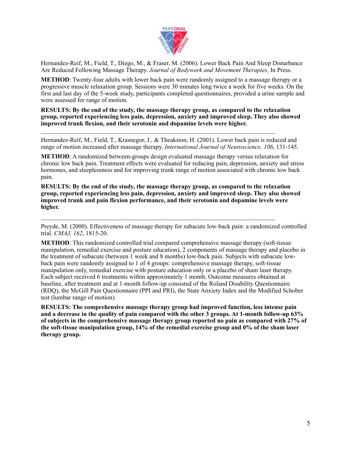

Hernandez-Reif, M., Field, T., Diego, M., & Fraser, M. (2006). Lower Back Pain And Sleep Disturbance Are Reduced Following Massage Therapy. *Journal of Bodywork and Movement Therapies,* In Press.

**METHOD**: Twenty-four adults with lower back pain were randomly assigned to a massage therapy or a progressive muscle relaxation group. Sessions were 30 minutes long twice a week for five weeks. On the first and last day of the 5-week study, participants completed questionnaires, provided a urine sample and were assessed for range of motion.

**RESULTS: By the end of the study, the massage therapy group, as compared to the relaxation group, reported experiencing less pain, depression, anxiety and improved sleep. They also showed improved trunk flexion, and their serotonin and dopamine levels were higher.**

Hernandez-Reif, M., Field, T., Krasnegor, J., & Theakston, H. (2001). Lower back pain is reduced and range of motion increased after massage therapy. *International Journal of Neuroscience, 106*, 131-145.

 $\mathcal{L}_\text{max} = \mathcal{L}_\text{max} = \mathcal{L}_\text{max} = \mathcal{L}_\text{max} = \mathcal{L}_\text{max} = \mathcal{L}_\text{max} = \mathcal{L}_\text{max} = \mathcal{L}_\text{max} = \mathcal{L}_\text{max} = \mathcal{L}_\text{max} = \mathcal{L}_\text{max} = \mathcal{L}_\text{max} = \mathcal{L}_\text{max} = \mathcal{L}_\text{max} = \mathcal{L}_\text{max} = \mathcal{L}_\text{max} = \mathcal{L}_\text{max} = \mathcal{L}_\text{max} = \mathcal{$ 

**METHOD**: A randomized between-groups design evaluated massage therapy versus relaxation for chronic low back pain. Treatment effects were evaluated for reducing pain, depression, anxiety and stress hormones, and sleeplessness and for improving trunk range of motion associated with chronic low back pain.

**RESULTS: By the end of the study, the massage therapy group, as compared to the relaxation group, reported experiencing less pain, depression, anxiety and improved sleep. They also showed improved trunk and pain flexion performance, and their serotonin and dopamine levels were higher.**

 $\mathcal{L}_\text{max} = \frac{1}{2} \sum_{i=1}^n \mathcal{L}_\text{max} = \frac{1}{2} \sum_{i=1}^n \mathcal{L}_\text{max} = \frac{1}{2} \sum_{i=1}^n \mathcal{L}_\text{max} = \frac{1}{2} \sum_{i=1}^n \mathcal{L}_\text{max} = \frac{1}{2} \sum_{i=1}^n \mathcal{L}_\text{max} = \frac{1}{2} \sum_{i=1}^n \mathcal{L}_\text{max} = \frac{1}{2} \sum_{i=1}^n \mathcal{L}_\text{max} = \frac{1}{2} \sum_{i=$ 

Preyde, M. (2000). Effectiveness of massage therapy for subacute low-back pain: a randomized controlled trial. *CMAJ, 162*, 1815-20.

**METHOD**: This randomized controlled trial compared comprehensive massage therapy (soft-tissue) manipulation, remedial exercise and posture education), 2 components of massage therapy and placebo in the treatment of subacute (between 1 week and 8 months) low-back pain. Subjects with subacute lowback pain were randomly assigned to 1 of 4 groups: comprehensive massage therapy, soft-tissue manipulation only, remedial exercise with posture education only or a placebo of sham laser therapy. Each subject received 6 treatments within approximately 1 month. Outcome measures obtained at baseline, after treatment and at 1-month follow-up consisted of the Roland Disability Questionnaire (RDQ), the McGill Pain Questionnaire (PPI and PRI), the State Anxiety Index and the Modified Schober test (lumbar range of motion).

**RESULTS: The comprehensive massage therapy group had improved function, less intense pain and a decrease in the quality of pain compared with the other 3 groups. At 1-month follow-up 63% of subjects in the comprehensive massage therapy group reported no pain as compared with 27% of the soft-tissue manipulation group, 14% of the remedial exercise group and 0% of the sham laser therapy group.**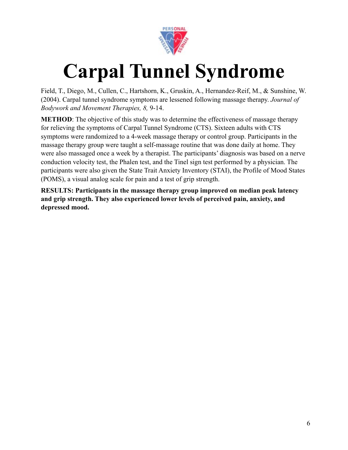

## **Carpal Tunnel Syndrome**

Field, T., Diego, M., Cullen, C., Hartshorn, K., Gruskin, A., Hernandez-Reif, M., & Sunshine, W. (2004). Carpal tunnel syndrome symptoms are lessened following massage therapy. *Journal of Bodywork and Movement Therapies, 8,* 9-14.

**METHOD**: The objective of this study was to determine the effectiveness of massage therapy for relieving the symptoms of Carpal Tunnel Syndrome (CTS). Sixteen adults with CTS symptoms were randomized to a 4-week massage therapy or control group. Participants in the massage therapy group were taught a self-massage routine that was done daily at home. They were also massaged once a week by a therapist. The participants' diagnosis was based on a nerve conduction velocity test, the Phalen test, and the Tinel sign test performed by a physician. The participants were also given the State Trait Anxiety Inventory (STAI), the Profile of Mood States (POMS), a visual analog scale for pain and a test of grip strength.

**RESULTS: Participants in the massage therapy group improved on median peak latency and grip strength. They also experienced lower levels of perceived pain, anxiety, and depressed mood.**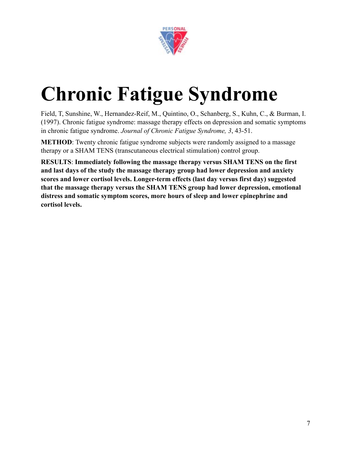

# **Chronic Fatigue Syndrome**

Field, T, Sunshine, W., Hernandez-Reif, M., Quintino, O., Schanberg, S., Kuhn, C., & Burman, I. (1997). Chronic fatigue syndrome: massage therapy effects on depression and somatic symptoms in chronic fatigue syndrome. *Journal of Chronic Fatigue Syndrome, 3*, 43-51.

**METHOD**: Twenty chronic fatigue syndrome subjects were randomly assigned to a massage therapy or a SHAM TENS (transcutaneous electrical stimulation) control group.

**RESULTS**: **Immediately following the massage therapy versus SHAM TENS on the first and last days of the study the massage therapy group had lower depression and anxiety scores and lower cortisol levels. Longer-term effects (last day versus first day) suggested that the massage therapy versus the SHAM TENS group had lower depression, emotional distress and somatic symptom scores, more hours of sleep and lower epinephrine and cortisol levels.**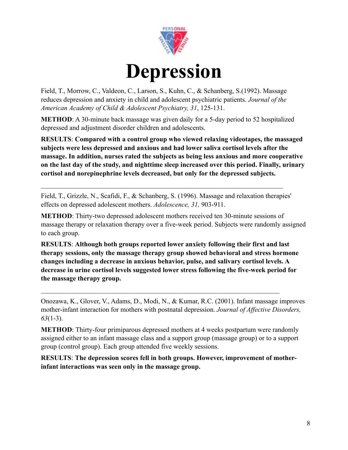

Field, T., Morrow, C., Valdeon, C., Larson, S., Kuhn, C., & Schanberg, S.(1992). Massage reduces depression and anxiety in child and adolescent psychiatric patients. *Journal of the American Academy of Child & Adolescent Psychiatry, 31*, 125-131.

**METHOD**: A 30-minute back massage was given daily for a 5-day period to 52 hospitalized depressed and adjustment disorder children and adolescents.

**RESULTS**: **Compared with a control group who viewed relaxing videotapes, the massaged subjects were less depressed and anxious and had lower saliva cortisol levels after the massage. In addition, nurses rated the subjects as being less anxious and more cooperative on the last day of the study, and nighttime sleep increased over this period. Finally, urinary cortisol and norepinephrine levels decreased, but only for the depressed subjects.**

Field, T., Grizzle, N., Scafidi, F., & Schanberg, S. (1996). Massage and relaxation therapies' effects on depressed adolescent mothers. *Adolescence, 31,* 903-911.

 $\mathcal{L}_\text{max}$  , and the contribution of the contribution of the contribution of the contribution of the contribution of the contribution of the contribution of the contribution of the contribution of the contribution of t

**METHOD**: Thirty-two depressed adolescent mothers received ten 30-minute sessions of massage therapy or relaxation therapy over a five-week period. Subjects were randomly assigned to each group.

**RESULTS**: **Although both groups reported lower anxiety following their first and last therapy sessions, only the massage therapy group showed behavioral and stress hormone changes including a decrease in anxious behavior, pulse, and salivary cortisol levels. A decrease in urine cortisol levels suggested lower stress following the five-week period for the massage therapy group.**

 $\mathcal{L}_\text{max} = \mathcal{L}_\text{max} = \mathcal{L}_\text{max} = \mathcal{L}_\text{max} = \mathcal{L}_\text{max} = \mathcal{L}_\text{max} = \mathcal{L}_\text{max} = \mathcal{L}_\text{max} = \mathcal{L}_\text{max} = \mathcal{L}_\text{max} = \mathcal{L}_\text{max} = \mathcal{L}_\text{max} = \mathcal{L}_\text{max} = \mathcal{L}_\text{max} = \mathcal{L}_\text{max} = \mathcal{L}_\text{max} = \mathcal{L}_\text{max} = \mathcal{L}_\text{max} = \mathcal{$ 

Onozawa, K., Glover, V., Adams, D., Modi, N., & Kumar, R.C. (2001). Infant massage improves mother-infant interaction for mothers with postnatal depression. *Journal of Affective Disorders, 63*(1-3).

**METHOD**: Thirty-four primiparous depressed mothers at 4 weeks postpartum were randomly assigned either to an infant massage class and a support group (massage group) or to a support group (control group). Each group attended five weekly sessions.

**RESULTS**: **The depression scores fell in both groups. However, improvement of motherinfant interactions was seen only in the massage group.**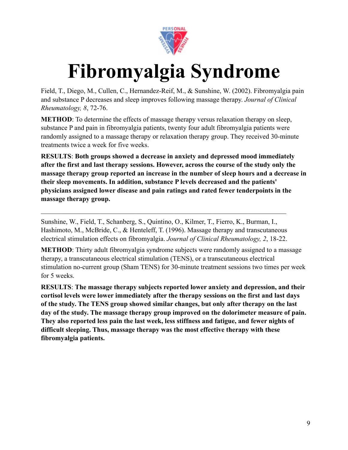

## **Fibromyalgia Syndrome**

Field, T., Diego, M., Cullen, C., Hernandez-Reif, M., & Sunshine, W. (2002). Fibromyalgia pain and substance P decreases and sleep improves following massage therapy. *Journal of Clinical Rheumatology, 8*, 72-76.

**METHOD**: To determine the effects of massage therapy versus relaxation therapy on sleep, substance P and pain in fibromyalgia patients, twenty four adult fibromyalgia patients were randomly assigned to a massage therapy or relaxation therapy group. They received 30-minute treatments twice a week for five weeks.

**RESULTS**: **Both groups showed a decrease in anxiety and depressed mood immediately after the first and last therapy sessions. However, across the course of the study only the massage therapy group reported an increase in the number of sleep hours and a decrease in their sleep movements. In addition, substance P levels decreased and the patients' physicians assigned lower disease and pain ratings and rated fewer tenderpoints in the massage therapy group.**

Sunshine, W., Field, T., Schanberg, S., Quintino, O., Kilmer, T., Fierro, K., Burman, I., Hashimoto, M., McBride, C., & Henteleff, T. (1996). Massage therapy and transcutaneous electrical stimulation effects on fibromyalgia. *Journal of Clinical Rheumatology, 2*, 18-22.

 $\mathcal{L}_\text{max}$  , and the contribution of the contribution of the contribution of the contribution of the contribution of the contribution of the contribution of the contribution of the contribution of the contribution of t

**METHOD**: Thirty adult fibromyalgia syndrome subjects were randomly assigned to a massage therapy, a transcutaneous electrical stimulation (TENS), or a transcutaneous electrical stimulation no-current group (Sham TENS) for 30-minute treatment sessions two times per week for 5 weeks.

**RESULTS**: **The massage therapy subjects reported lower anxiety and depression, and their cortisol levels were lower immediately after the therapy sessions on the first and last days of the study. The TENS group showed similar changes, but only after therapy on the last day of the study. The massage therapy group improved on the dolorimeter measure of pain. They also reported less pain the last week, less stiffness and fatigue, and fewer nights of difficult sleeping. Thus, massage therapy was the most effective therapy with these fibromyalgia patients.**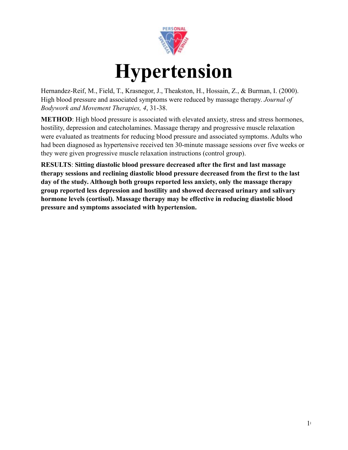

Hernandez-Reif, M., Field, T., Krasnegor, J., Theakston, H., Hossain, Z., & Burman, I. (2000). High blood pressure and associated symptoms were reduced by massage therapy. *Journal of Bodywork and Movement Therapies, 4*, 31-38.

**METHOD:** High blood pressure is associated with elevated anxiety, stress and stress hormones, hostility, depression and catecholamines. Massage therapy and progressive muscle relaxation were evaluated as treatments for reducing blood pressure and associated symptoms. Adults who had been diagnosed as hypertensive received ten 30-minute massage sessions over five weeks or they were given progressive muscle relaxation instructions (control group).

**RESULTS**: **Sitting diastolic blood pressure decreased after the first and last massage therapy sessions and reclining diastolic blood pressure decreased from the first to the last day of the study. Although both groups reported less anxiety, only the massage therapy group reported less depression and hostility and showed decreased urinary and salivary hormone levels (cortisol). Massage therapy may be effective in reducing diastolic blood pressure and symptoms associated with hypertension.**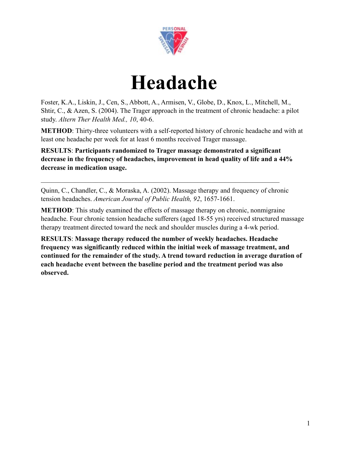

#### **Headache**

Foster, K.A., Liskin, J., Cen, S., Abbott, A., Armisen, V., Globe, D., Knox, L., Mitchell, M., Shtir, C., & Azen, S. (2004). The Trager approach in the treatment of chronic headache: a pilot study. *Altern Ther Health Med., 10*, 40-6.

**METHOD**: Thirty-three volunteers with a self-reported history of chronic headache and with at least one headache per week for at least 6 months received Trager massage.

**RESULTS**: **Participants randomized to Trager massage demonstrated a significant decrease in the frequency of headaches, improvement in head quality of life and a 44% decrease in medication usage.**

Quinn, C., Chandler, C., & Moraska, A. (2002). Massage therapy and frequency of chronic tension headaches. *American Journal of Public Health, 92*, 1657-1661.

 $\mathcal{L}_\text{max} = \mathcal{L}_\text{max} = \mathcal{L}_\text{max} = \mathcal{L}_\text{max} = \mathcal{L}_\text{max} = \mathcal{L}_\text{max} = \mathcal{L}_\text{max} = \mathcal{L}_\text{max} = \mathcal{L}_\text{max} = \mathcal{L}_\text{max} = \mathcal{L}_\text{max} = \mathcal{L}_\text{max} = \mathcal{L}_\text{max} = \mathcal{L}_\text{max} = \mathcal{L}_\text{max} = \mathcal{L}_\text{max} = \mathcal{L}_\text{max} = \mathcal{L}_\text{max} = \mathcal{$ 

**METHOD**: This study examined the effects of massage therapy on chronic, nonmigraine headache. Four chronic tension headache sufferers (aged 18-55 yrs) received structured massage therapy treatment directed toward the neck and shoulder muscles during a 4-wk period.

**RESULTS**: **Massage therapy reduced the number of weekly headaches. Headache frequency was significantly reduced within the initial week of massage treatment, and continued for the remainder of the study. A trend toward reduction in average duration of each headache event between the baseline period and the treatment period was also observed.**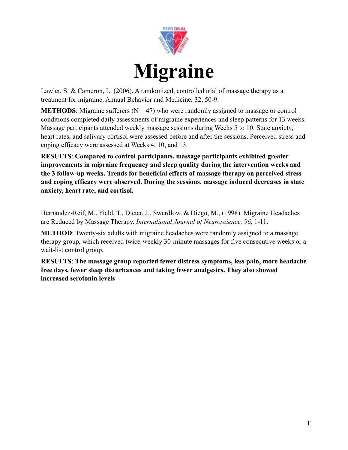

Lawler, S. & Cameron, L. (2006). A randomized, controlled trial of massage therapy as a treatment for migraine. Annual Behavior and Medicine, 32, 50-9.

**METHODS**: Migraine sufferers  $(N = 47)$  who were randomly assigned to massage or control conditions completed daily assessments of migraine experiences and sleep patterns for 13 weeks. Massage participants attended weekly massage sessions during Weeks 5 to 10. State anxiety, heart rates, and salivary cortisol were assessed before and after the sessions. Perceived stress and coping efficacy were assessed at Weeks 4, 10, and 13.

**RESULTS**: **Compared to control participants, massage participants exhibited greater improvements in migraine frequency and sleep quality during the intervention weeks and the 3 follow-up weeks. Trends for beneficial effects of massage therapy on perceived stress and coping efficacy were observed. During the sessions, massage induced decreases in state anxiety, heart rate, and cortisol.**

Hernandez-Reif, M., Field, T., Dieter, J., Swerdlow. & Diego, M., (1998). Migraine Headaches are Reduced by Massage Therapy. *International Journal of Neuroscience, 96*, 1-11.

**METHOD**: Twenty-six adults with migraine headaches were randomly assigned to a massage therapy group, which received twice-weekly 30-minute massages for five consecutive weeks or a wait-list control group.

**RESULTS**: **The massage group reported fewer distress symptoms, less pain, more headache free days, fewer sleep disturbances and taking fewer analgesics. They also showed increased serotonin levels**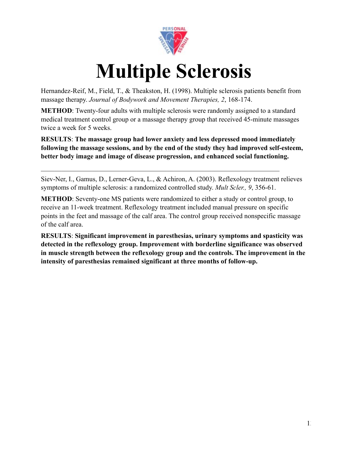

#### **Multiple Sclerosis**

Hernandez-Reif, M., Field, T., & Theakston, H. (1998). Multiple sclerosis patients benefit from massage therapy. *Journal of Bodywork and Movement Therapies, 2*, 168-174.

**METHOD**: Twenty-four adults with multiple sclerosis were randomly assigned to a standard medical treatment control group or a massage therapy group that received 45-minute massages twice a week for 5 weeks.

**RESULTS**: **The massage group had lower anxiety and less depressed mood immediately following the massage sessions, and by the end of the study they had improved self-esteem, better body image and image of disease progression, and enhanced social functioning.**

Siev-Ner, I., Gamus, D., Lerner-Geva, L., & Achiron, A. (2003). Reflexology treatment relieves symptoms of multiple sclerosis: a randomized controlled study. *Mult Scler., 9*, 356-61.

 $\mathcal{L}_\text{max}$  and  $\mathcal{L}_\text{max}$  and  $\mathcal{L}_\text{max}$  and  $\mathcal{L}_\text{max}$  and  $\mathcal{L}_\text{max}$  and  $\mathcal{L}_\text{max}$ 

**METHOD**: Seventy-one MS patients were randomized to either a study or control group, to receive an 11-week treatment. Reflexology treatment included manual pressure on specific points in the feet and massage of the calf area. The control group received nonspecific massage of the calf area.

**RESULTS**: **Significant improvement in paresthesias, urinary symptoms and spasticity was detected in the reflexology group. Improvement with borderline significance was observed in muscle strength between the reflexology group and the controls. The improvement in the intensity of paresthesias remained significant at three months of follow-up.**